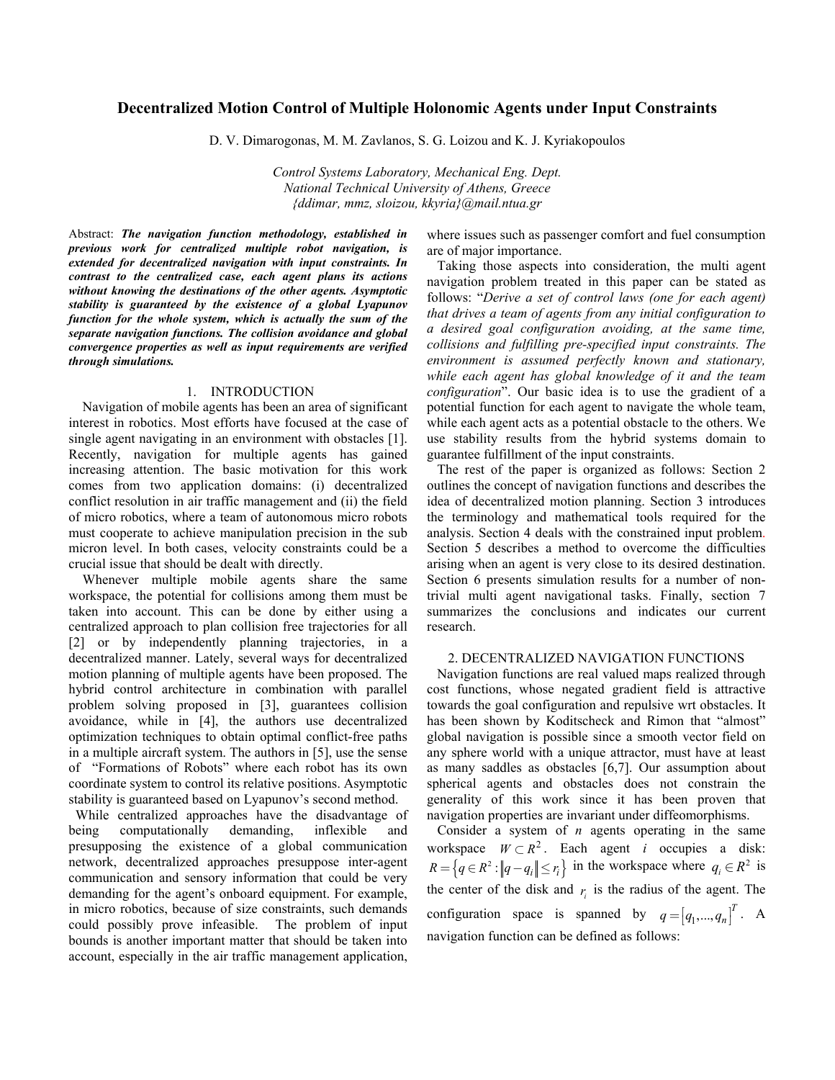# **Decentralized Motion Control of Multiple Holonomic Agents under Input Constraints**

D. V. Dimarogonas, M. M. Zavlanos, S. G. Loizou and K. J. Kyriakopoulos

*Control Systems Laboratory, Mechanical Eng. Dept. National Technical University of Athens, Greece {ddimar, mmz, sloizou, kkyria}@mail.ntua.gr* 

Abstract: *The navigation function methodology, established in previous work for centralized multiple robot navigation, is extended for decentralized navigation with input constraints. In contrast to the centralized case, each agent plans its actions without knowing the destinations of the other agents. Asymptotic stability is guaranteed by the existence of a global Lyapunov function for the whole system, which is actually the sum of the separate navigation functions. The collision avoidance and global convergence properties as well as input requirements are verified through simulations.*

#### 1. INTRODUCTION

 Navigation of mobile agents has been an area of significant interest in robotics. Most efforts have focused at the case of single agent navigating in an environment with obstacles [1]. Recently, navigation for multiple agents has gained increasing attention. The basic motivation for this work comes from two application domains: (i) decentralized conflict resolution in air traffic management and (ii) the field of micro robotics, where a team of autonomous micro robots must cooperate to achieve manipulation precision in the sub micron level. In both cases, velocity constraints could be a crucial issue that should be dealt with directly.

Whenever multiple mobile agents share the same workspace, the potential for collisions among them must be taken into account. This can be done by either using a centralized approach to plan collision free trajectories for all [2] or by independently planning trajectories, in a decentralized manner. Lately, several ways for decentralized motion planning of multiple agents have been proposed. The hybrid control architecture in combination with parallel problem solving proposed in [3], guarantees collision avoidance, while in [4], the authors use decentralized optimization techniques to obtain optimal conflict-free paths in a multiple aircraft system. The authors in [5], use the sense of "Formations of Robots" where each robot has its own coordinate system to control its relative positions. Asymptotic stability is guaranteed based on Lyapunov's second method.

 While centralized approaches have the disadvantage of being computationally demanding, inflexible and presupposing the existence of a global communication network, decentralized approaches presuppose inter-agent communication and sensory information that could be very demanding for the agent's onboard equipment. For example, in micro robotics, because of size constraints, such demands could possibly prove infeasible. The problem of input bounds is another important matter that should be taken into account, especially in the air traffic management application, where issues such as passenger comfort and fuel consumption are of major importance.

Taking those aspects into consideration, the multi agent navigation problem treated in this paper can be stated as follows: "*Derive a set of control laws (one for each agent) that drives a team of agents from any initial configuration to a desired goal configuration avoiding, at the same time, collisions and fulfilling pre-specified input constraints. The environment is assumed perfectly known and stationary, while each agent has global knowledge of it and the team configuration*". Our basic idea is to use the gradient of a potential function for each agent to navigate the whole team, while each agent acts as a potential obstacle to the others. We use stability results from the hybrid systems domain to guarantee fulfillment of the input constraints.

 The rest of the paper is organized as follows: Section 2 outlines the concept of navigation functions and describes the idea of decentralized motion planning. Section 3 introduces the terminology and mathematical tools required for the analysis. Section 4 deals with the constrained input problem. Section 5 describes a method to overcome the difficulties arising when an agent is very close to its desired destination. Section 6 presents simulation results for a number of nontrivial multi agent navigational tasks. Finally, section 7 summarizes the conclusions and indicates our current research.

#### 2. DECENTRALIZED NAVIGATION FUNCTIONS

Navigation functions are real valued maps realized through cost functions, whose negated gradient field is attractive towards the goal configuration and repulsive wrt obstacles. It has been shown by Koditscheck and Rimon that "almost" global navigation is possible since a smooth vector field on any sphere world with a unique attractor, must have at least as many saddles as obstacles [6,7]. Our assumption about spherical agents and obstacles does not constrain the generality of this work since it has been proven that navigation properties are invariant under diffeomorphisms.

 Consider a system of *n* agents operating in the same workspace  $W \subset R^2$ . Each agent *i* occupies a disk:  $R = \{ q \in R^2 : ||q - q_i|| \le r_i \}$  in the workspace where  $q_i \in R^2$  is the center of the disk and  $r_i$  is the radius of the agent. The configuration space is spanned by  $q = [q_1, ..., q_n]^T$ . A navigation function can be defined as follows: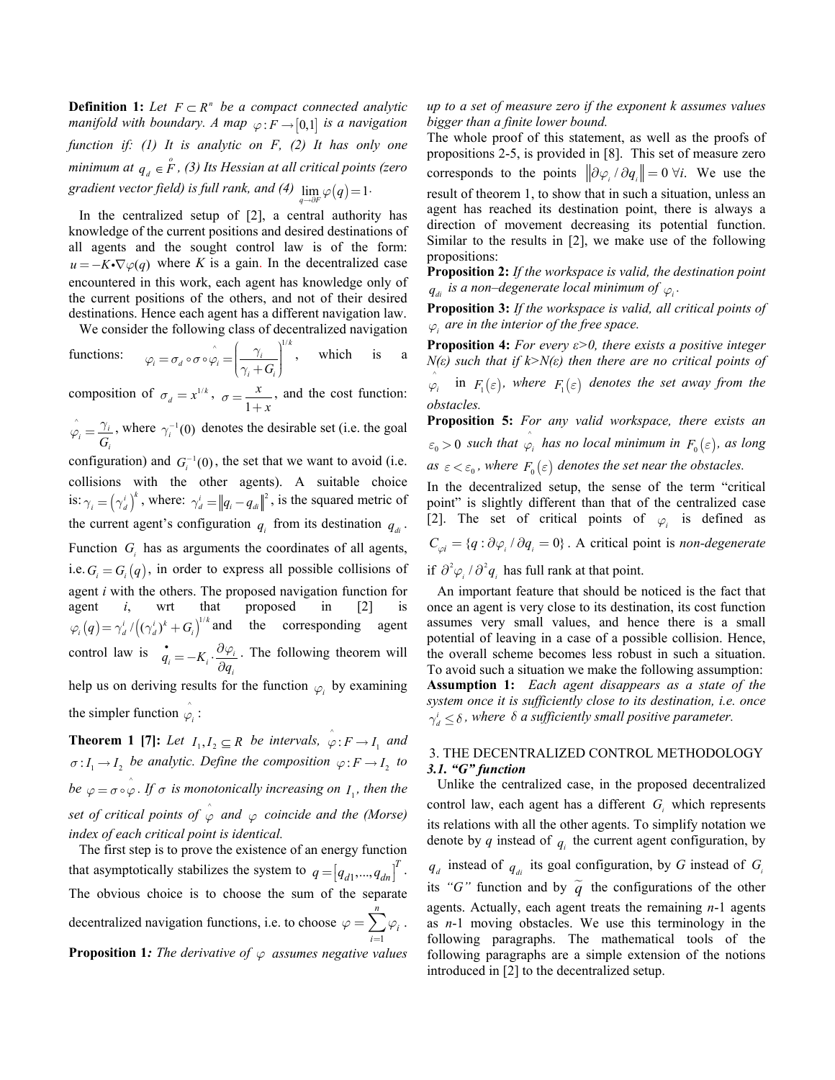**Definition 1:** Let  $F \subset R^n$  be a compact connected analytic *manifold with boundary. A map*  $\varphi$ :  $F \rightarrow [0,1]$  *is a navigation function if: (1) It is analytic on F, (2) It has only one minimum at*  $q_{d} \in \overset{o}{F}$ *, (3) Its Hessian at all critical points (zero gradient vector field) is full rank, and (4)*  $\lim_{q \to \partial F} \varphi(q) = 1$ .

In the centralized setup of [2], a central authority has knowledge of the current positions and desired destinations of all agents and the sought control law is of the form:  $u = -K \cdot \nabla \varphi(q)$  where *K* is a gain. In the decentralized case encountered in this work, each agent has knowledge only of the current positions of the others, and not of their desired destinations. Hence each agent has a different navigation law.

We consider the following class of decentralized navigation

functions: 
$$
\varphi_i = \sigma_d \circ \sigma \circ \varphi_i = \left(\frac{\gamma_i}{\gamma_i + G_i}\right)^{1/k}
$$
, which is a

composition of  $\sigma_d = x^{1/k}$ ,  $\sigma = \frac{1}{1}$  $\sigma = \frac{x}{1+x}$ , and the cost function:

 $\hat{i}$   $\hat{j}$  $i = G_i$  $\hat{\varphi}_i = \frac{\gamma_i}{\hat{\varphi}}$ , where  $\gamma_i^{-1}(0)$  denotes the desirable set (i.e. the goal

configuration) and  $G_i^{-1}(0)$ , the set that we want to avoid (i.e. collisions with the other agents). A suitable choice is:  $\gamma_i = (\gamma_d^i)^k$ , where:  $\gamma_d^i = ||q_i - q_d||^2$ , is the squared metric of the current agent's configuration  $q_i$  from its destination  $q_{di}$ . Function  $G_i$  has as arguments the coordinates of all agents, i.e.  $G_i = G_i(q)$ , in order to express all possible collisions of agent *i* with the others. The proposed navigation function for agent *i*, wrt that proposed in [2] is  $\varphi_i(q) = \gamma_d^i / ((\gamma_d^i)^k + G_i)^{1/k}$  and the corresponding agent control law is  $\vec{q}_i = -K_i \cdot \frac{\partial \varphi_i}{\partial q_i}$ . The following theorem will help us on deriving results for the function  $\varphi$  by examining the simpler function  $\hat{\varphi}_i$  :

**Theorem 1 [7]:** Let  $I_1, I_2 \subseteq R$  be intervals,  $\hat{\varphi}: F \to I_1$  and  $\sigma: I_1 \to I_2$  be analytic. Define the composition  $\varphi: F \to I_2$  to *be*  $\varphi = \sigma \circ \varphi$ . If  $\sigma$  *is monotonically increasing on*  $I_1$ *, then the set of critical points of*  $\hat{\varphi}$  *and*  $\varphi$  *coincide and the (Morse) index of each critical point is identical.* 

 The first step is to prove the existence of an energy function that asymptotically stabilizes the system to  $q = [q_{d1},..., q_{dn}]^T$ . 1 *n* decentralized navigation functions, i.e. to choose  $\varphi = \sum \varphi_i$ . *i*= l  $\begin{array}{c} \end{array}$ The obvious choice is to choose the sum of the separate **Proposition 1:** The derivative of  $\varphi$  assumes negative values

*up to a set of measure zero if the exponent k assumes values bigger than a finite lower bound.* 

The whole proof of this statement, as well as the proofs of propositions 2-5, is provided in [8]. This set of measure zero corresponds to the points  $\|\partial \varphi_i / \partial q_i\| = 0 \forall i$ . We use the result of theorem 1, to show that in such a situation, unless an agent has reached its destination point, there is always a direction of movement decreasing its potential function. Similar to the results in [2], we make use of the following propositions:

**Proposition 2:** *If the workspace is valid, the destination point*  $q_{di}$  is a non–degenerate local minimum of  $\varphi_i$ .

**Proposition 3:** *If the workspace is valid, all critical points of ϕ<sup>i</sup> are in the interior of the free space.* 

**Proposition 4:** *For every ε>0, there exists a positive integer N(ε) such that if k>N(ε) then there are no critical points of*

 $\hat{\varphi}_i$  in  $F_1(\varepsilon)$ *, where*  $F_1(\varepsilon)$  *denotes the set away from the obstacles.* 

**Proposition 5:** *For any valid workspace, there exists an*   $\epsilon_0 > 0$  such that  $\hat{\varphi}_i$  has no local minimum in  $F_0(\epsilon)$ , as long *as*  $\varepsilon < \varepsilon_0$ , where  $F_0(\varepsilon)$  denotes the set near the obstacles.

In the decentralized setup, the sense of the term "critical point" is slightly different than that of the centralized case [2]. The set of critical points of  $\varphi$ <sup>*i*</sup> is defined as  $C_{\varphi i} = \{q : \partial \varphi_i / \partial q_i = 0\}$ . A critical point is *non-degenerate* if  $\partial^2 \varphi_i / \partial^2 q_i$  has full rank at that point.

An important feature that should be noticed is the fact that once an agent is very close to its destination, its cost function assumes very small values, and hence there is a small potential of leaving in a case of a possible collision. Hence, the overall scheme becomes less robust in such a situation. To avoid such a situation we make the following assumption: **Assumption 1:** *Each agent disappears as a state of the system once it is sufficiently close to its destination, i.e. once*  $\gamma_d^i \leq \delta$ , where  $\delta$  *a sufficiently small positive parameter.* 

# 3. THE DECENTRALIZED CONTROL METHODOLOGY *3.1. "G" function*

 Unlike the centralized case, in the proposed decentralized control law, each agent has a different  $G_i$  which represents its relations with all the other agents. To simplify notation we denote by  $q$  instead of  $q_i$  the current agent configuration, by  $q_d$  instead of  $q_{di}$  its goal configuration, by *G* instead of  $G_i$ its "G" function and by  $\tilde{q}$  the configurations of the other agents. Actually, each agent treats the remaining *n*-1 agents as *n*-1 moving obstacles. We use this terminology in the following paragraphs. The mathematical tools of the following paragraphs are a simple extension of the notions introduced in [2] to the decentralized setup.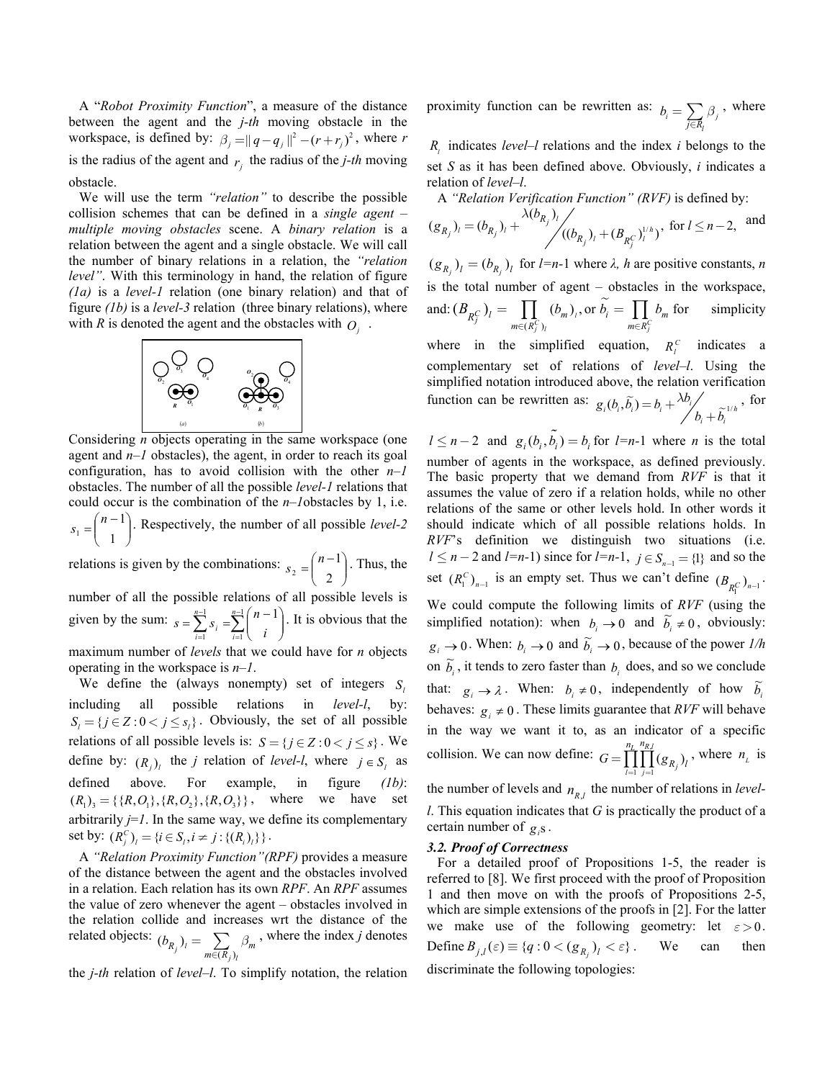A "*Robot Proximity Function*", a measure of the distance between the agent and the *j-th* moving obstacle in the workspace, is defined by:  $\beta_j = ||q - q_j||^2 - (r + r_j)^2$ , where *r* is the radius of the agent and  $r_i$  the radius of the *j*-th moving obstacle.

 We will use the term *"relation"* to describe the possible collision schemes that can be defined in a *single agent – multiple moving obstacles* scene. A *binary relation* is a relation between the agent and a single obstacle. We will call the number of binary relations in a relation, the *"relation level"*. With this terminology in hand, the relation of figure *(1a)* is a *level-1* relation (one binary relation) and that of figure *(1b)* is a *level-3* relation (three binary relations), where with *R* is denoted the agent and the obstacles with  $O_i$ .



Considering *n* objects operating in the same workspace (one agent and *n–1* obstacles), the agent, in order to reach its goal configuration, has to avoid collision with the other *n–1* obstacles. The number of all the possible *level-1* relations that could occur is the combination of the *n–1*obstacles by 1, i.e.  $\overline{\phantom{a}}$ J  $\setminus$  $\overline{\phantom{a}}$  $=\binom{n-1}{1}$  $s_1 = \binom{n-1}{1}$ . Respectively, the number of all possible *level-2* 

relations is given by the combinations:  $s_2 = \binom{n-1}{2}$ J  $\backslash$  $\overline{\phantom{a}}$  $=\binom{n-1}{2}$  $s_2 = \binom{n-1}{2}$ . Thus, the

number of all the possible relations of all possible levels is given by the sum:  $s = \sum_{i=1}^{n-1} s_i = \sum_{i=1}^{n-1} s_i$ = −  $\sum_{i=1}^n s_i = \sum_{i=1}^n \binom{n-1}{i}$ J  $\setminus$  $\overline{\phantom{a}}$ ∖  $=\sum_{i=1}^{n-1} S_i = \sum_{i=1}^{n-1} \left( n - \frac{1}{n} \right)$ 1 1 1  $\sum_{n=1}^{n-1} (n-1)$ *i n*  $s = \sum_{i=1}^{n-1} s_i = \sum_{i=1}^{n-1} {n-1 \choose i}$ . It is obvious that the

maximum number of *levels* that we could have for *n* objects operating in the workspace is *n–1*.

We define the (always nonempty) set of integers *S* including all possible relations in *level-l*, by:  $S_i = \{ j \in \mathbb{Z} : 0 < j \leq s_i \}$ . Obviously, the set of all possible relations of all possible levels is:  $S = \{ j \in \mathbb{Z} : 0 < j \leq s \}$ . We define by:  $(R_j)_l$  the *j* relation of *level-l*, where  $j \in S_l$  as defined above. For example, in figure *(1b)*:  $(R_1)_3 = \{\{R, O_1\}, \{R, O_2\}, \{R, O_3\}\}\,$ , where we have set arbitrarily  $j=1$ . In the same way, we define its complementary set by:  $(R_i^C)_i = \{i \in S_i, i \neq j : \{(R_i)_i\}\}\$ .

 A *"Relation Proximity Function"(RPF)* provides a measure of the distance between the agent and the obstacles involved in a relation. Each relation has its own *RPF*. An *RPF* assumes the value of zero whenever the agent – obstacles involved in the relation collide and increases wrt the distance of the related objects:  $(b_{R_j})_l = \sum_{m \in (R_j)_l} \beta_m$  $(b_{R_j})_i = \sum_{m \in (R_i)_i} \beta_m$ , where the index *j* denotes

the *j-th* relation of *level–l*. To simplify notation, the relation

proximity function can be rewritten as:  $b_i = \sum_{j \in R_i} \beta_j$ *β*  $b_i = \sum_{j \in R_i} \beta_j$ , where

*<sup>l</sup> R* indicates *level–l* relations and the index *i* belongs to the set *S* as it has been defined above. Obviously, *i* indicates a relation of *level–l*.

A *"Relation Verification Function" (RVF)* is defined by:

$$
(g_{R_j})_l = (b_{R_j})_l + \frac{\lambda(b_{R_j})_l}{\left( (b_{R_j})_l + (B_{R_j^C})_l^{1/h} \right)}
$$
, for  $l \le n-2$ , and

 $(g_{R_j})_l = (b_{R_j})_l$  for  $l=n-1$  where  $\lambda$ ,  $h$  are positive constants,  $n$ is the total number of agent – obstacles in the workspace, and:  $(B_{nC})_i = \prod_{m} (b_m)_i$ , or  $\widetilde{b}_i$  $(R_i^C)$  $(B_{R_j^C})_l = \prod_{m \in (R_j^C)_l} (b_m)_l$ , or  $b_i = \prod_{m \in R_j^C}$  $B_{R_j^C}$ )<sub>*l*</sub> =  $\prod_{m \in (R_j^C)} (b_m)_i$ , or  $\widetilde{b_i} = \prod_{m \in R_j^C} b_m$  for simplicity

where in the simplified equation,  $R_i^C$  indicates a complementary set of relations of *level–l*. Using the simplified notation introduced above, the relation verification function can be rewritten as:  $g_i(b_i, \tilde{b}_i) = b_i + \frac{\lambda b_i}{b_i + \tilde{b}_i}$ *b*  $g_i(b_i, \tilde{b}_i) = b_i + \frac{\lambda b_i}{b_i + \tilde{b}_i}$ , for

 $l \leq n-2$  and  $g_i(b_i, \tilde{b_i}) = b_i$  for  $l=n-1$  where *n* is the total number of agents in the workspace, as defined previously. The basic property that we demand from *RVF* is that it assumes the value of zero if a relation holds, while no other relations of the same or other levels hold. In other words it should indicate which of all possible relations holds. In *RVF*'s definition we distinguish two situations (i.e. *l* ≤ *n* − 2 and *l*=*n*-1) since for *l*=*n*-1, *j* ∈  $S_{n-1}$  = {1} and so the set  $(R_1^C)_{n-1}$  is an empty set. Thus we can't define  $(B_{R_1^C})_{n-1}$ . We could compute the following limits of *RVF* (using the simplified notation): when  $b_i \rightarrow 0$  and  $\tilde{b}_i \neq 0$ , obviously:  $g_i \to 0$ . When:  $b_i \to 0$  and  $\tilde{b}_i \to 0$ , because of the power *1/h* on  $\widetilde{b}_i$ , it tends to zero faster than  $b_i$  does, and so we conclude that:  $g_i \rightarrow \lambda$ . When:  $b_i \neq 0$ , independently of how  $\tilde{b}_i$ behaves:  $g_i \neq 0$ . These limits guarantee that *RVF* will behave in the way we want it to, as an indicator of a specific collision. We can now define:  $1 \quad j=1$ , *l j*  $n_L$   $n_{R,l}$  $G = \prod_{l=1}^{n} \prod_{j=1}^{n} (g_{R_j})_l$ , where  $n_L$  is

the number of levels and  $n_{p_l}$  the number of relations in *levell*. This equation indicates that *G* is practically the product of a certain number of  $g_{\beta}$ .

#### *3.2. Proof of Correctness*

For a detailed proof of Propositions 1-5, the reader is referred to [8]. We first proceed with the proof of Proposition 1 and then move on with the proofs of Propositions 2-5, which are simple extensions of the proofs in [2]. For the latter we make use of the following geometry: let  $\varepsilon > 0$ . Define  $B_{j,l}(\varepsilon) \equiv \{q : 0 < (g_{R_j})_l < \varepsilon \}$ . We can then discriminate the following topologies: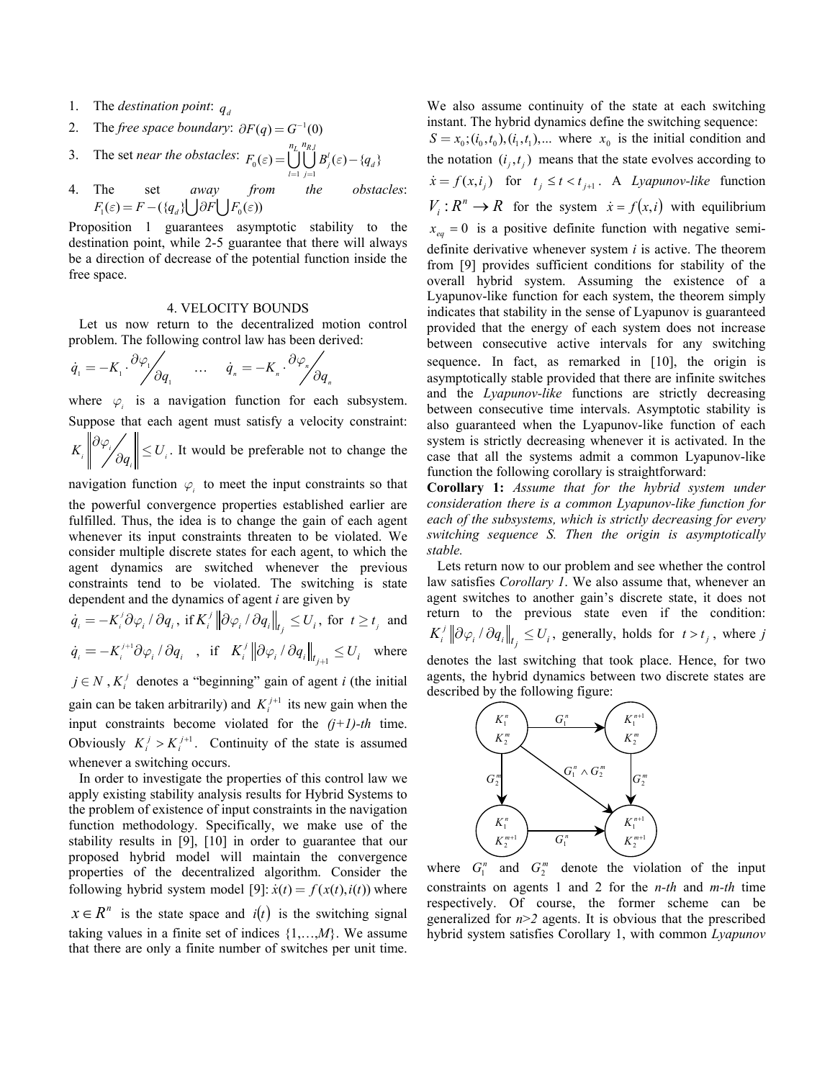- 1. The *destination point*:  $q_d$
- 2. The *free space boundary*:  $\partial F(q) = G^{-1}(0)$
- 3. The set *near the obstacles*:  $F_0(\varepsilon) = \bigcup_{l=1}^{n} \bigcup_{j=1}^{n}$  $\mathcal{L}(\varepsilon) = \bigcup_{l=1}^{n_L} \bigcup_{j=1}^{n_R} B_j^l(\varepsilon) - \{q_{d}\}\$  $n_L$   $n_{R,l}$  $F_0(\varepsilon) = \int \int \int B_i'(\varepsilon) - \{q$  $=\bigcup_{l=1}^{\infty}\bigcup_{j=1}^{\infty}B_j^l(\varepsilon)-$
- 4. The set *away from the obstacles*:  $F_1(\varepsilon) = F - (\{q_d\} | \mathbf{F} \partial F | \mathbf{F}_0(\varepsilon))$

Proposition 1 guarantees asymptotic stability to the destination point, while 2-5 guarantee that there will always be a direction of decrease of the potential function inside the free space.

### 4. VELOCITY BOUNDS

Let us now return to the decentralized motion control problem. The following control law has been derived:

$$
\dot{q}_1 = -K_1 \cdot \frac{\partial \varphi_1}{\partial q_1} \quad \dots \quad \dot{q}_n = -K_n \cdot \frac{\partial \varphi_n}{\partial q_1}
$$

where  $\varphi$  is a navigation function for each subsystem. Suppose that each agent must satisfy a velocity constraint:  $K_i \left\| \frac{\partial \varphi_i}{\partial q_i} \right\| \le U_i$ . It would be preferable not to change the

*n*

navigation function  $\varphi_i$  to meet the input constraints so that the powerful convergence properties established earlier are fulfilled. Thus, the idea is to change the gain of each agent whenever its input constraints threaten to be violated. We consider multiple discrete states for each agent, to which the agent dynamics are switched whenever the previous constraints tend to be violated. The switching is state dependent and the dynamics of agent *i* are given by

$$
\dot{q}_{i} = -K_{i}^{j} \partial \varphi_{i} / \partial q_{i}, \text{ if } K_{i}^{j} \left\| \partial \varphi_{i} / \partial q_{i} \right\|_{t_{j}} \leq U_{i}, \text{ for } t \geq t_{j} \text{ and}
$$
  

$$
\dot{q}_{i} = -K_{i}^{j+1} \partial \varphi_{i} / \partial q_{i}, \text{ if } K_{i}^{j} \left\| \partial \varphi_{i} / \partial q_{i} \right\|_{t_{j+1}} \leq U_{i} \text{ where}
$$

gain can be taken arbitrarily) and  $K_i^{j+1}$  its new gain when the Obviously  $K_i^j > K_i^{j+1}$ . Continuity of the state is assumed  $j \in N$ ,  $K_i^j$  denotes a "beginning" gain of agent *i* (the initial input constraints become violated for the *(j+1)-th* time. whenever a switching occurs.

In order to investigate the properties of this control law we apply existing stability analysis results for Hybrid Systems to the problem of existence of input constraints in the navigation function methodology. Specifically, we make use of the stability results in [9], [10] in order to guarantee that our proposed hybrid model will maintain the convergence properties of the decentralized algorithm. Consider the following hybrid system model [9]:  $\dot{x}(t) = f(x(t), i(t))$  where  $x \in R^n$  is the state space and  $i(t)$  is the switching signal

taking values in a finite set of indices  $\{1, \ldots, M\}$ . We assume that there are only a finite number of switches per unit time.

We also assume continuity of the state at each switching instant. The hybrid dynamics define the switching sequence:  $S = x_0$ ;  $(i_0, t_0)$ ,  $(i_1, t_1)$ ,... where  $x_0$  is the initial condition and the notation  $(i_j, t_j)$  means that the state evolves according to  $\dot{x} = f(x, i_j)$  for  $t_j \le t < t_{j+1}$ . A *Lyapunov-like* function  $V_i: R^n \to R$  for the system  $\dot{x} = f(x, i)$  with equilibrium  $x_{eq} = 0$  is a positive definite function with negative semidefinite derivative whenever system *i* is active. The theorem from [9] provides sufficient conditions for stability of the overall hybrid system. Assuming the existence of a Lyapunov-like function for each system, the theorem simply indicates that stability in the sense of Lyapunov is guaranteed provided that the energy of each system does not increase between consecutive active intervals for any switching sequence. In fact, as remarked in [10], the origin is asymptotically stable provided that there are infinite switches and the *Lyapunov-like* functions are strictly decreasing between consecutive time intervals. Asymptotic stability is also guaranteed when the Lyapunov-like function of each system is strictly decreasing whenever it is activated. In the case that all the systems admit a common Lyapunov-like function the following corollary is straightforward:

**Corollary 1:** *Assume that for the hybrid system under consideration there is a common Lyapunov-like function for each of the subsystems, which is strictly decreasing for every switching sequence S. Then the origin is asymptotically stable.* 

Lets return now to our problem and see whether the control law satisfies *Corollary 1*. We also assume that, whenever an agent switches to another gain's discrete state, it does not return to the previous state even if the condition:  $\left\| K_i^j \right\| \partial \varphi_i / \partial q_i \right\|_{t_j} \leq U_i$ , generally, holds for  $t > t_j$ , where *j* 

denotes the last switching that took place. Hence, for two agents, the hybrid dynamics between two discrete states are described by the following figure:



where  $G_1^n$  and  $G_2^m$  denote the violation of the input constraints on agents 1 and 2 for the *n-th* and *m-th* time respectively. Of course, the former scheme can be generalized for  $n > 2$  agents. It is obvious that the prescribed hybrid system satisfies Corollary 1, with common *Lyapunov*  where  $G_1^n$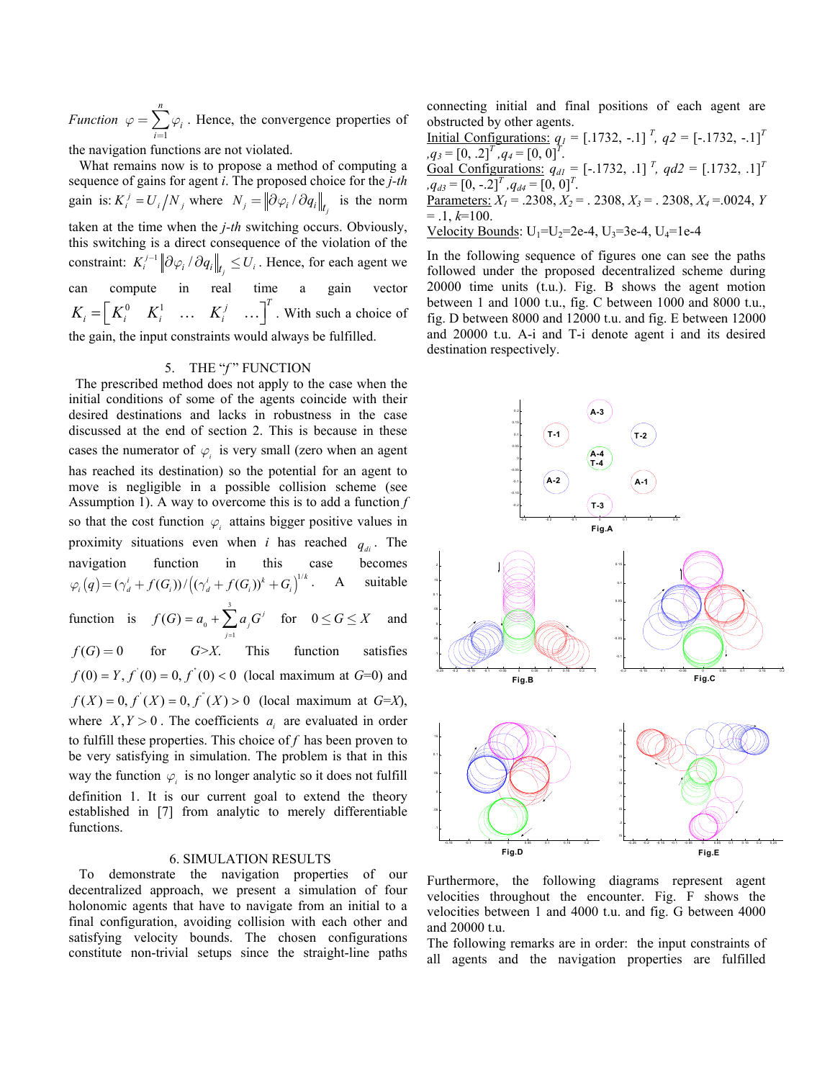*Function*  $\varphi = \sum_i \varphi_i$ . Hence, the convergence properties of 1 *n*  $\sum_{i=1}$   $\varphi_i$ *ϕ*  $=\sum_{i=1}^{\infty}\varphi$ 

the navigation functions are not violated.

gain is:  $K_i^j = U_i/N_j$  where  $N_j = \left\|\partial \varphi_i / \partial q_i\right\|_{t_j}$  is the norm What remains now is to propose a method of computing a sequence of gains for agent *i*. The proposed choice for the *j-th* taken at the time when the *j-th* switching occurs. Obviously, this switching is a direct consequence of the violation of the constraint:  $K_i^{j-1} \left\| \partial \varphi_i / \partial q_i \right\|_{t_j} \le U_i$ . Hence, for each agent we  $K_i = \begin{bmatrix} K_i^0 & K_i^1 & \dots & K_i^j & \dots \end{bmatrix}^T$ . With such a choice of can compute in real time a gain vector the gain, the input constraints would always be fulfilled.

## 5. THE "f" FUNCTION

The prescribed method does not apply to the case when the initial conditions of some of the agents coincide with their desired destinations and lacks in robustness in the case discussed at the end of section 2. This is because in these cases the numerator of  $\varphi$  is very small (zero when an agent has reached its destination) so the potential for an agent to move is negligible in a possible collision scheme (see Assumption 1). A way to overcome this is to add a function *f*  so that the cost function  $\varphi_i$  attains bigger positive values in proximity situations even when *i* has reached  $q_{di}$ . The navigation function in this case becomes  $\varphi_i(q) = (\gamma_d^i + f(G_i)) / ((\gamma_d^i + f(G_i))^k + G_i)^{1/k}$ . A suitable 3 1 function is  $f(G) = a_0 + \sum_{j=1}^{\infty} a_j G^j$  $f(G) = 0$  $f(0) = Y, f'(0) = 0, f'(0) < 0$  (local maximum at *G*=0) and  $f(X) = 0, f'(X) = 0, f'(X) > 0$  (local maximum at *G*=*X*), where  $X, Y > 0$ . The coefficients  $a_i$  are evaluated in order way the function  $\varphi$  is no longer analytic so it does not fulfill *j*  $=a_0 + \sum a_i G^i$  for  $0 \le G \le X$  and for *G>X*. This function satisfies to fulfill these properties. This choice of *f* has been proven to be very satisfying in simulation. The problem is that in this definition 1. It is our current goal to extend the theory established in [7] from analytic to merely differentiable functions.  $0 \le G \le X$ 

### 6. SIMULATION RESULTS

To demonstrate the navigation properties of our decentralized approach, we present a simulation of four holonomic agents that have to navigate from an initial to a final configuration, avoiding collision with each other and satisfying velocity bounds. The chosen configurations constitute non-trivial setups since the straight-line paths connecting initial and final positions of each agent are obstructed by other agents.

Initial Configurations:  $q_1 = [.1732, -.1]^T$ ,  $q_2 = [.1732, -.1]^T$  $q_3 = [0, 0.2]^T$ ,  $q_4 = [0, 0]^T$ . Goal Configurations:  $q_{d1} = [-.1732, .1]^T$ ,  $qd2 = [.1732, .1]^T$  $q_{d3} = [0, -2]^T$ ,  $q_{d4} = [0, 0]^T$ . Parameters:  $X_1 = .2308, X_2 = .2308, X_3 = .2308, X_4 = .0024, Y$  $= .1, k=100.$ Velocity Bounds:  $U_1=U_2=2e-4$ ,  $U_3=3e-4$ ,  $U_4=1e-4$ 

In the following sequence of figures one can see the paths followed under the proposed decentralized scheme during 20000 time units (t.u.). Fig. B shows the agent motion between 1 and 1000 t.u., fig. C between 1000 and 8000 t.u., fig. D between 8000 and 12000 t.u. and fig. E between 12000 and 20000 t.u. A-i and T-i denote agent i and its desired destination respectively.



Furthermore, the following diagrams represent agent velocities throughout the encounter. Fig. F shows the velocities between 1 and 4000 t.u. and fig. G between 4000 and 20000 t.u.

The following remarks are in order: the input constraints of all agents and the navigation properties are fulfilled